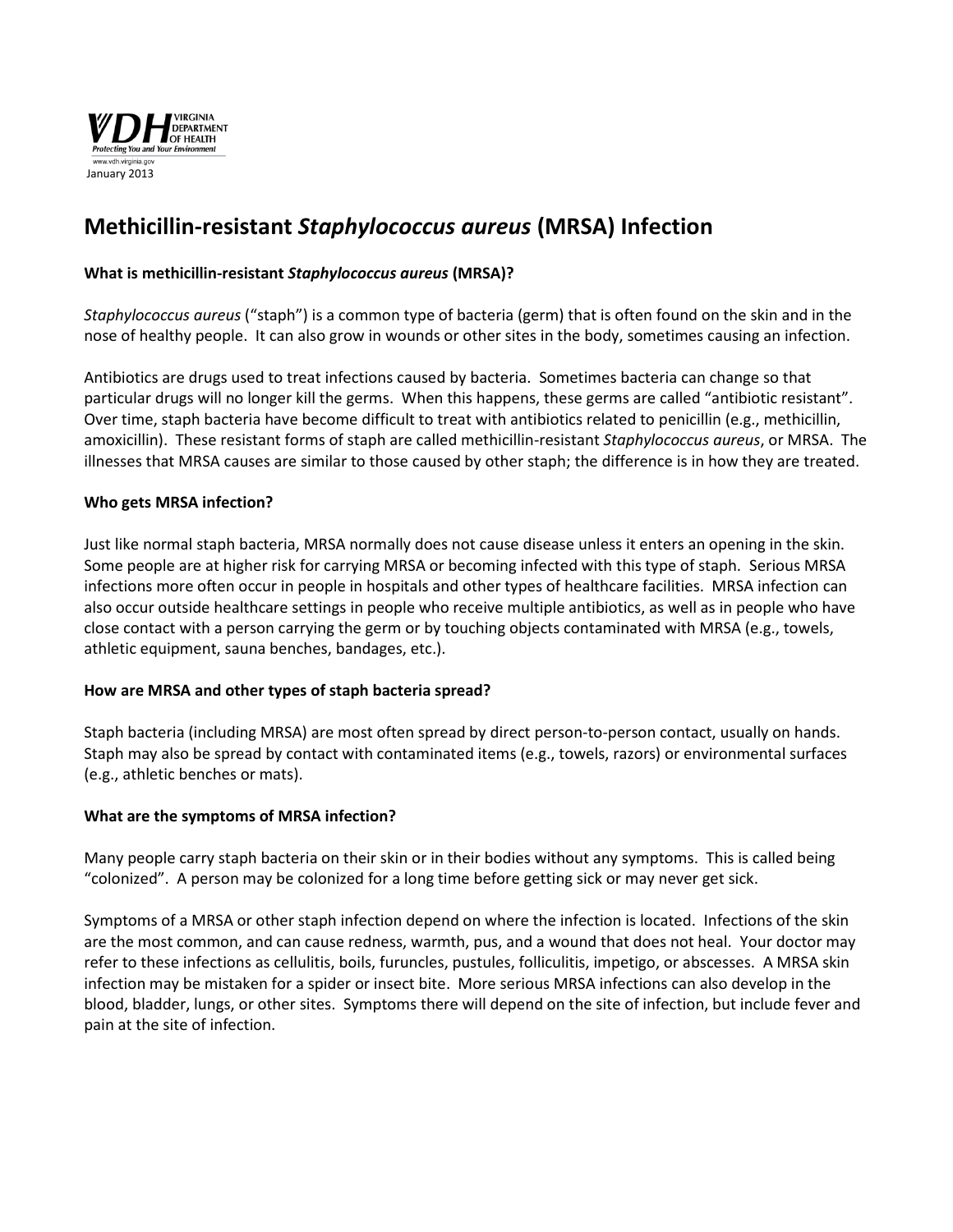

# **Methicillin-resistant** *Staphylococcus aureus* **(MRSA) Infection**

# **What is methicillin-resistant** *Staphylococcus aureus* **(MRSA)?**

*Staphylococcus aureus* ("staph") is a common type of bacteria (germ) that is often found on the skin and in the nose of healthy people. It can also grow in wounds or other sites in the body, sometimes causing an infection.

Antibiotics are drugs used to treat infections caused by bacteria. Sometimes bacteria can change so that particular drugs will no longer kill the germs. When this happens, these germs are called "antibiotic resistant". Over time, staph bacteria have become difficult to treat with antibiotics related to penicillin (e.g., methicillin, amoxicillin). These resistant forms of staph are called methicillin-resistant *Staphylococcus aureus*, or MRSA. The illnesses that MRSA causes are similar to those caused by other staph; the difference is in how they are treated.

## **Who gets MRSA infection?**

Just like normal staph bacteria, MRSA normally does not cause disease unless it enters an opening in the skin. Some people are at higher risk for carrying MRSA or becoming infected with this type of staph. Serious MRSA infections more often occur in people in hospitals and other types of healthcare facilities. MRSA infection can also occur outside healthcare settings in people who receive multiple antibiotics, as well as in people who have close contact with a person carrying the germ or by touching objects contaminated with MRSA (e.g., towels, athletic equipment, sauna benches, bandages, etc.).

## **How are MRSA and other types of staph bacteria spread?**

Staph bacteria (including MRSA) are most often spread by direct person-to-person contact, usually on hands. Staph may also be spread by contact with contaminated items (e.g., towels, razors) or environmental surfaces (e.g., athletic benches or mats).

## **What are the symptoms of MRSA infection?**

Many people carry staph bacteria on their skin or in their bodies without any symptoms. This is called being "colonized". A person may be colonized for a long time before getting sick or may never get sick.

Symptoms of a MRSA or other staph infection depend on where the infection is located. Infections of the skin are the most common, and can cause redness, warmth, pus, and a wound that does not heal. Your doctor may refer to these infections as cellulitis, boils, furuncles, pustules, folliculitis, impetigo, or abscesses. A MRSA skin infection may be mistaken for a spider or insect bite. More serious MRSA infections can also develop in the blood, bladder, lungs, or other sites. Symptoms there will depend on the site of infection, but include fever and pain at the site of infection.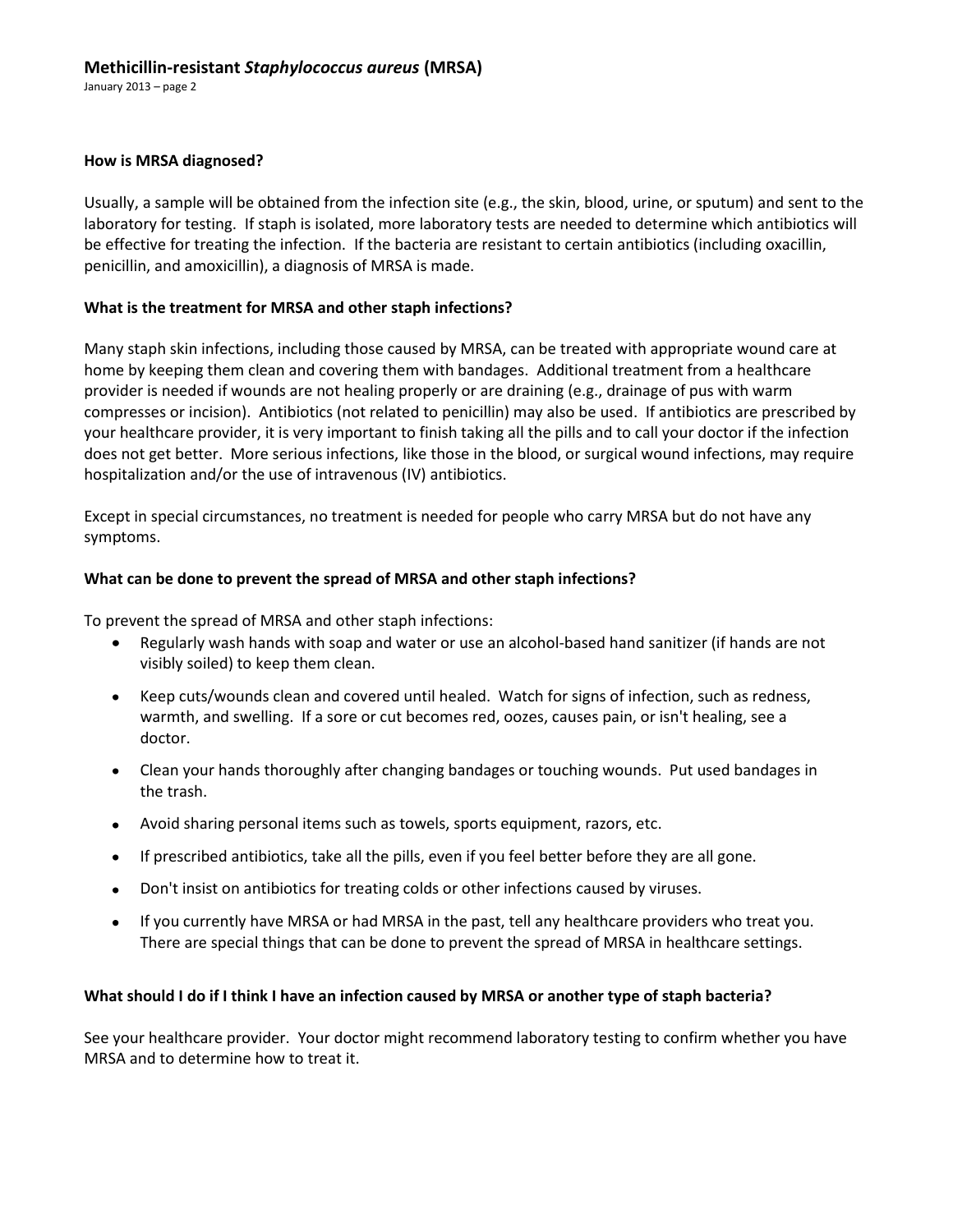## **Methicillin-resistant** *Staphylococcus aureus* **(MRSA)**

January 2013 – page 2

#### **How is MRSA diagnosed?**

Usually, a sample will be obtained from the infection site (e.g., the skin, blood, urine, or sputum) and sent to the laboratory for testing. If staph is isolated, more laboratory tests are needed to determine which antibiotics will be effective for treating the infection. If the bacteria are resistant to certain antibiotics (including oxacillin, penicillin, and amoxicillin), a diagnosis of MRSA is made.

## **What is the treatment for MRSA and other staph infections?**

Many staph skin infections, including those caused by MRSA, can be treated with appropriate wound care at home by keeping them clean and covering them with bandages. Additional treatment from a healthcare provider is needed if wounds are not healing properly or are draining (e.g., drainage of pus with warm compresses or incision). Antibiotics (not related to penicillin) may also be used. If antibiotics are prescribed by your healthcare provider, it is very important to finish taking all the pills and to call your doctor if the infection does not get better. More serious infections, like those in the blood, or surgical wound infections, may require hospitalization and/or the use of intravenous (IV) antibiotics.

Except in special circumstances, no treatment is needed for people who carry MRSA but do not have any symptoms.

## **What can be done to prevent the spread of MRSA and other staph infections?**

To prevent the spread of MRSA and other staph infections:

- Regularly wash hands with soap and water or use an alcohol-based hand sanitizer (if hands are not visibly soiled) to keep them clean.
- Keep cuts/wounds clean and covered until healed. Watch for signs of infection, such as redness, warmth, and swelling. If a sore or cut becomes red, oozes, causes pain, or isn't healing, see a doctor.
- Clean your hands thoroughly after changing bandages or touching wounds. Put used bandages in the trash.
- Avoid sharing personal items such as towels, sports equipment, razors, etc.
- If prescribed antibiotics, take all the pills, even if you feel better before they are all gone.
- Don't insist on antibiotics for treating colds or other infections caused by viruses.  $\bullet$
- If you currently have MRSA or had MRSA in the past, tell any healthcare providers who treat you. There are special things that can be done to prevent the spread of MRSA in healthcare settings.

## **What should I do if I think I have an infection caused by MRSA or another type of staph bacteria?**

See your healthcare provider. Your doctor might recommend laboratory testing to confirm whether you have MRSA and to determine how to treat it.